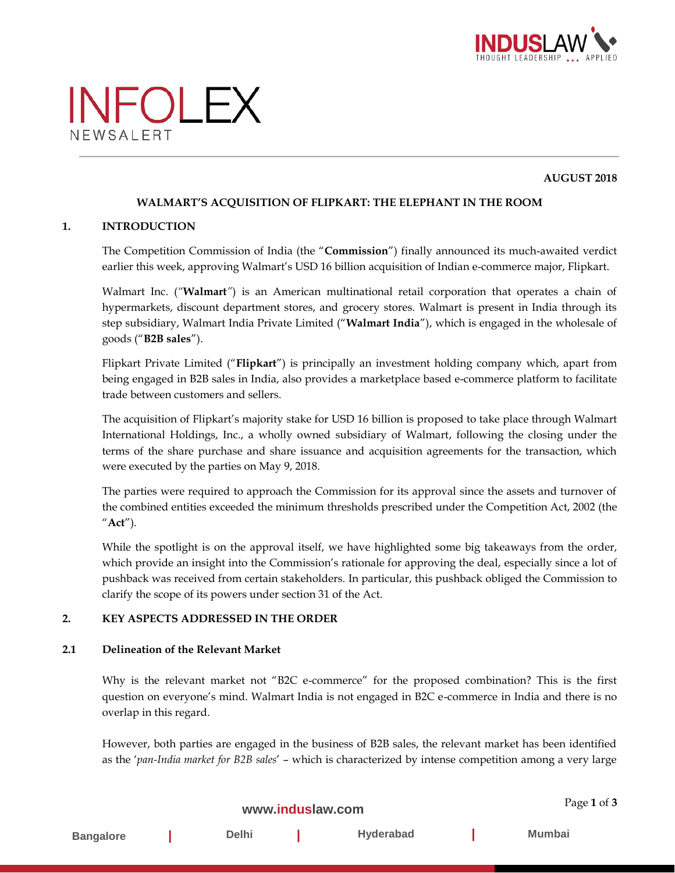



### **AUGUST 2018**

## **WALMART'S ACQUISITION OF FLIPKART: THE ELEPHANT IN THE ROOM**

#### **1. INTRODUCTION**

The Competition Commission of India (the "**Commission**") finally announced its much-awaited verdict earlier this week, approving Walmart's USD 16 billion acquisition of Indian e-commerce major, Flipkart.

Walmart Inc. (*"***Walmart***"*) is an American multinational retail corporation that operates a chain of hypermarkets, discount department stores, and grocery stores. Walmart is present in India through its step subsidiary, Walmart India Private Limited ("**Walmart India**"), which is engaged in the wholesale of goods ("**B2B sales**").

Flipkart Private Limited ("**Flipkart**") is principally an investment holding company which, apart from being engaged in B2B sales in India, also provides a marketplace based e-commerce platform to facilitate trade between customers and sellers.

The acquisition of Flipkart's majority stake for USD 16 billion is proposed to take place through Walmart International Holdings, Inc., a wholly owned subsidiary of Walmart, following the closing under the terms of the share purchase and share issuance and acquisition agreements for the transaction, which were executed by the parties on May 9, 2018.

The parties were required to approach the Commission for its approval since the assets and turnover of the combined entities exceeded the minimum thresholds prescribed under the Competition Act, 2002 (the "**Act**").

While the spotlight is on the approval itself, we have highlighted some big takeaways from the order, which provide an insight into the Commission's rationale for approving the deal, especially since a lot of pushback was received from certain stakeholders. In particular, this pushback obliged the Commission to clarify the scope of its powers under section 31 of the Act.

#### **2. KEY ASPECTS ADDRESSED IN THE ORDER**

#### **2.1 Delineation of the Relevant Market**

Why is the relevant market not "B2C e-commerce" for the proposed combination? This is the first question on everyone's mind. Walmart India is not engaged in B2C e-commerce in India and there is no overlap in this regard.

However, both parties are engaged in the business of B2B sales, the relevant market has been identified as the '*pan-India market for B2B sales*' – which is characterized by intense competition among a very large

|                  | Page 1 of 3  |           |        |
|------------------|--------------|-----------|--------|
| <b>Bangalore</b> | <b>Delhi</b> | Hyderabad | Mumbai |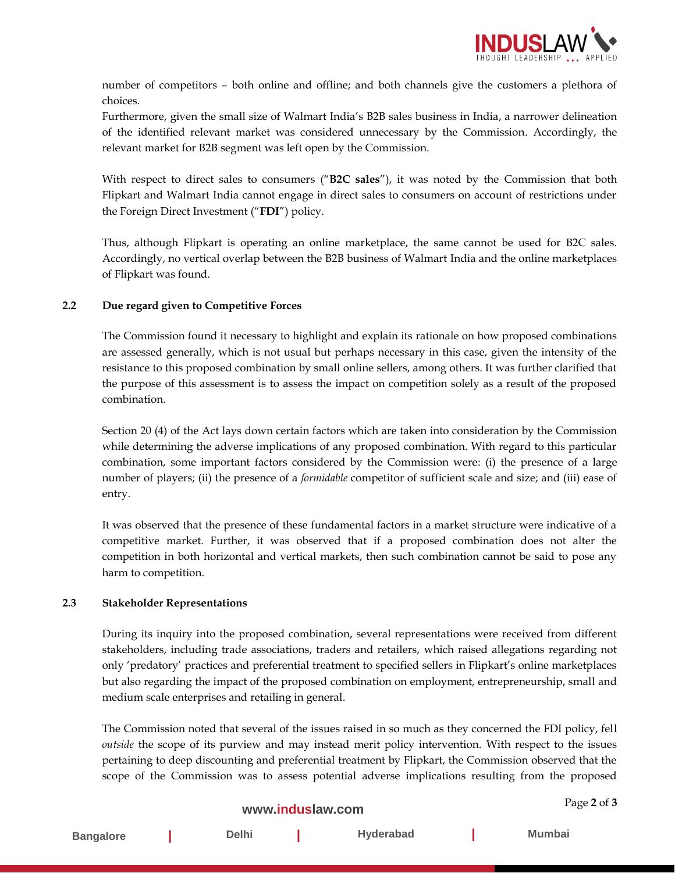

Page **2** of **3**

number of competitors – both online and offline; and both channels give the customers a plethora of choices.

Furthermore, given the small size of Walmart India's B2B sales business in India, a narrower delineation of the identified relevant market was considered unnecessary by the Commission. Accordingly, the relevant market for B2B segment was left open by the Commission.

With respect to direct sales to consumers ("**B2C sales**"), it was noted by the Commission that both Flipkart and Walmart India cannot engage in direct sales to consumers on account of restrictions under the Foreign Direct Investment ("**FDI**") policy.

Thus, although Flipkart is operating an online marketplace, the same cannot be used for B2C sales. Accordingly, no vertical overlap between the B2B business of Walmart India and the online marketplaces of Flipkart was found.

## **2.2 Due regard given to Competitive Forces**

The Commission found it necessary to highlight and explain its rationale on how proposed combinations are assessed generally, which is not usual but perhaps necessary in this case, given the intensity of the resistance to this proposed combination by small online sellers, among others. It was further clarified that the purpose of this assessment is to assess the impact on competition solely as a result of the proposed combination.

Section 20 (4) of the Act lays down certain factors which are taken into consideration by the Commission while determining the adverse implications of any proposed combination. With regard to this particular combination, some important factors considered by the Commission were: (i) the presence of a large number of players; (ii) the presence of a *formidable* competitor of sufficient scale and size; and (iii) ease of entry.

It was observed that the presence of these fundamental factors in a market structure were indicative of a competitive market. Further, it was observed that if a proposed combination does not alter the competition in both horizontal and vertical markets, then such combination cannot be said to pose any harm to competition.

#### **2.3 Stakeholder Representations**

During its inquiry into the proposed combination, several representations were received from different stakeholders, including trade associations, traders and retailers, which raised allegations regarding not only 'predatory' practices and preferential treatment to specified sellers in Flipkart's online marketplaces but also regarding the impact of the proposed combination on employment, entrepreneurship, small and medium scale enterprises and retailing in general.

The Commission noted that several of the issues raised in so much as they concerned the FDI policy, fell *outside* the scope of its purview and may instead merit policy intervention. With respect to the issues pertaining to deep discounting and preferential treatment by Flipkart, the Commission observed that the scope of the Commission was to assess potential adverse implications resulting from the proposed

# **[www.induslaw.com](http://www.induslaw.com/)**